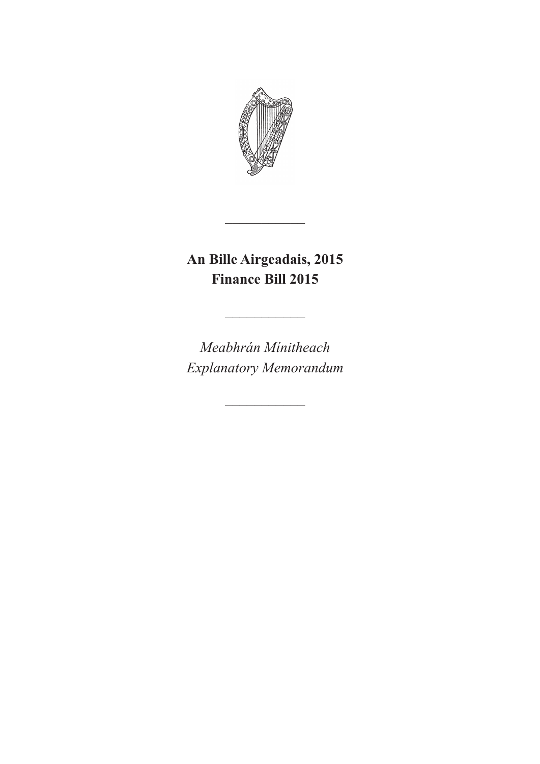

**An Bille Airgeadais, 2015 Finance Bill 2015**

 $\overline{\phantom{a}}$ 

 $\frac{1}{2}$ 

*Meabhrán Mínitheach Explanatory Memorandum*

 $\overline{\phantom{a}}$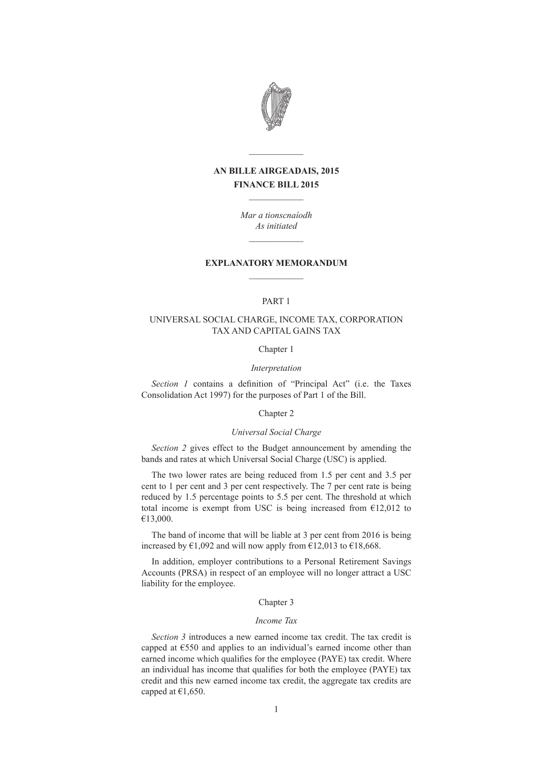

# **AN BILLE AIRGEADAIS, 2015 FINANCE BILL 2015**  $\mathcal{L}=\mathcal{L}$

 $\mathcal{L}=\mathcal{L}$ 

*Mar a tionscnaíodh As initiated*  $\mathcal{L}=\mathcal{L}^{\mathcal{L}}$ 

# **EXPLANATORY MEMORANDUM**  $\mathcal{L}$  , we have the set of  $\mathcal{L}$

# PART 1

## UNIVERSAL SOCIAL CHARGE, INCOME TAX, CORPORATION TAX AND CAPITAL GAINS TAX

#### Chapter 1

#### *Interpretation*

*Section 1* contains a definition of "Principal Act" (i.e. the Taxes Consolidation Act 1997) for the purposes of Part 1 of the Bill.

### Chapter 2

# *Universal Social Charge*

*Section 2* gives effect to the Budget announcement by amending the bands and rates at which Universal Social Charge (USC) is applied.

The two lower rates are being reduced from 1.5 per cent and 3.5 per cent to 1 per cent and 3 per cent respectively. The 7 per cent rate is being reduced by 1.5 percentage points to 5.5 per cent. The threshold at which total income is exempt from USC is being increased from  $E12,012$  to €13,000.

The band of income that will be liable at 3 per cent from 2016 is being increased by  $\epsilon$ 1,092 and will now apply from  $\epsilon$ 12,013 to  $\epsilon$ 18,668.

In addition, employer contributions to a Personal Retirement Savings Accounts (PRSA) in respect of an employee will no longer attract a USC liability for the employee.

# Chapter 3

## *Income Tax*

*Section 3* introduces a new earned income tax credit. The tax credit is capped at €550 and applies to an individual's earned income other than earned income which qualifies for the employee (PAYE) tax credit. Where an individual has income that qualifies for both the employee (PAYE) tax credit and this new earned income tax credit, the aggregate tax credits are capped at  $€1,650$ .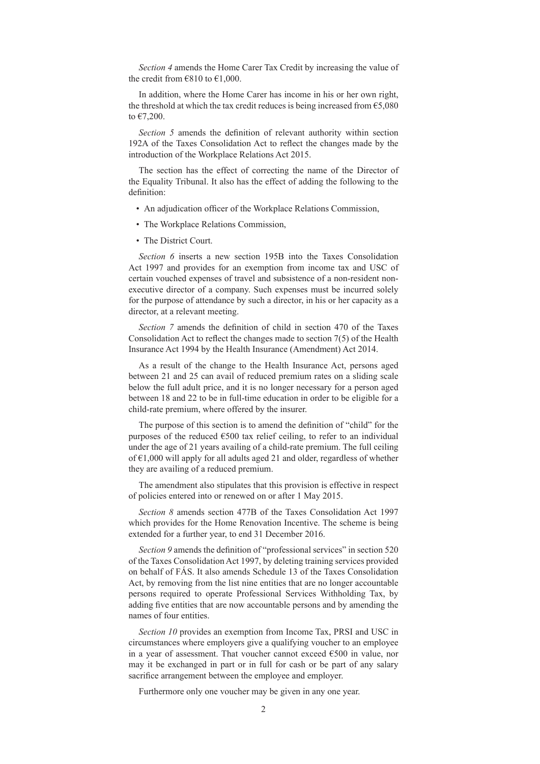*Section 4* amends the Home Carer Tax Credit by increasing the value of the credit from  $\epsilon$ 810 to  $\epsilon$ 1,000.

In addition, where the Home Carer has income in his or her own right, the threshold at which the tax credit reduces is being increased from  $65,080$ to €7,200.

*Section 5* amends the definition of relevant authority within section 192A of the Taxes Consolidation Act to reflect the changes made by the introduction of the Workplace Relations Act 2015.

The section has the effect of correcting the name of the Director of the Equality Tribunal. It also has the effect of adding the following to the definition:

- An adjudication officer of the Workplace Relations Commission,
- The Workplace Relations Commission,
- The District Court.

*Section 6* inserts a new section 195B into the Taxes Consolidation Act 1997 and provides for an exemption from income tax and USC of certain vouched expenses of travel and subsistence of a non-resident nonexecutive director of a company. Such expenses must be incurred solely for the purpose of attendance by such a director, in his or her capacity as a director, at a relevant meeting.

*Section 7* amends the definition of child in section 470 of the Taxes Consolidation Act to reflect the changes made to section 7(5) of the Health Insurance Act 1994 by the Health Insurance (Amendment) Act 2014.

As a result of the change to the Health Insurance Act, persons aged between 21 and 25 can avail of reduced premium rates on a sliding scale below the full adult price, and it is no longer necessary for a person aged between 18 and 22 to be in full-time education in order to be eligible for a child-rate premium, where offered by the insurer.

The purpose of this section is to amend the definition of "child" for the purposes of the reduced  $\epsilon$ 500 tax relief ceiling, to refer to an individual under the age of 21 years availing of a child-rate premium. The full ceiling of €1,000 will apply for all adults aged 21 and older, regardless of whether they are availing of a reduced premium.

The amendment also stipulates that this provision is effective in respect of policies entered into or renewed on or after 1 May 2015.

*Section 8* amends section 477B of the Taxes Consolidation Act 1997 which provides for the Home Renovation Incentive. The scheme is being extended for a further year, to end 31 December 2016.

*Section 9* amends the definition of "professional services" in section 520 of the Taxes Consolidation Act 1997, by deleting training services provided on behalf of FÁS. It also amends Schedule 13 of the Taxes Consolidation Act, by removing from the list nine entities that are no longer accountable persons required to operate Professional Services Withholding Tax, by adding five entities that are now accountable persons and by amending the names of four entities.

*Section 10* provides an exemption from Income Tax, PRSI and USC in circumstances where employers give a qualifying voucher to an employee in a year of assessment. That voucher cannot exceed €500 in value, nor may it be exchanged in part or in full for cash or be part of any salary sacrifice arrangement between the employee and employer.

Furthermore only one voucher may be given in any one year.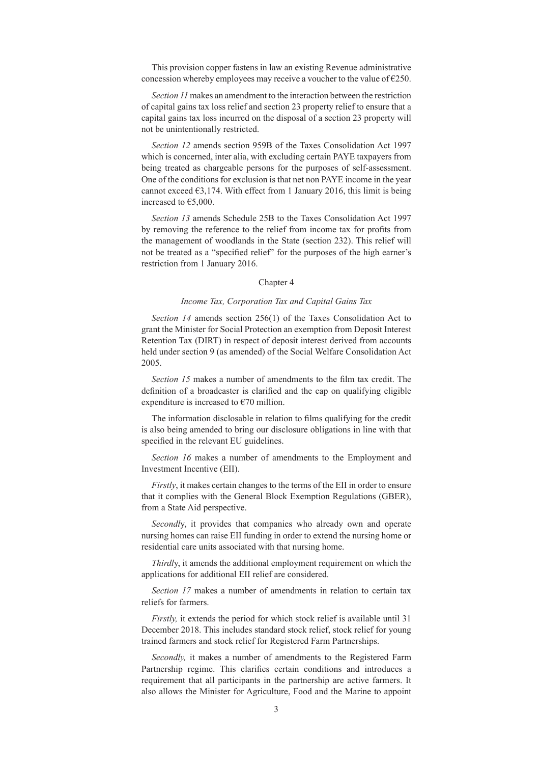This provision copper fastens in law an existing Revenue administrative concession whereby employees may receive a voucher to the value of  $E$  250.

*Section 11* makes an amendment to the interaction between the restriction of capital gains tax loss relief and section 23 property relief to ensure that a capital gains tax loss incurred on the disposal of a section 23 property will not be unintentionally restricted.

*Section 12* amends section 959B of the Taxes Consolidation Act 1997 which is concerned, inter alia, with excluding certain PAYE taxpayers from being treated as chargeable persons for the purposes of self-assessment. One of the conditions for exclusion is that net non PAYE income in the year cannot exceed  $63,174$ . With effect from 1 January 2016, this limit is being increased to €5,000.

*Section 13* amends Schedule 25B to the Taxes Consolidation Act 1997 by removing the reference to the relief from income tax for profits from the management of woodlands in the State (section 232). This relief will not be treated as a "specified relief" for the purposes of the high earner's restriction from 1 January 2016.

# Chapter 4

#### *Income Tax, Corporation Tax and Capital Gains Tax*

*Section 14* amends section 256(1) of the Taxes Consolidation Act to grant the Minister for Social Protection an exemption from Deposit Interest Retention Tax (DIRT) in respect of deposit interest derived from accounts held under section 9 (as amended) of the Social Welfare Consolidation Act 2005.

*Section 15* makes a number of amendments to the film tax credit. The definition of a broadcaster is clarified and the cap on qualifying eligible expenditure is increased to  $\epsilon$ 70 million.

The information disclosable in relation to films qualifying for the credit is also being amended to bring our disclosure obligations in line with that specified in the relevant EU guidelines.

*Section 16* makes a number of amendments to the Employment and Investment Incentive (EII).

*Firstly*, it makes certain changes to the terms of the EII in order to ensure that it complies with the General Block Exemption Regulations (GBER), from a State Aid perspective.

*Secondl*y, it provides that companies who already own and operate nursing homes can raise EII funding in order to extend the nursing home or residential care units associated with that nursing home.

*Thirdl*y, it amends the additional employment requirement on which the applications for additional EII relief are considered.

*Section 17* makes a number of amendments in relation to certain tax reliefs for farmers.

*Firstly,* it extends the period for which stock relief is available until 31 December 2018. This includes standard stock relief, stock relief for young trained farmers and stock relief for Registered Farm Partnerships.

*Secondly,* it makes a number of amendments to the Registered Farm Partnership regime. This clarifies certain conditions and introduces a requirement that all participants in the partnership are active farmers. It also allows the Minister for Agriculture, Food and the Marine to appoint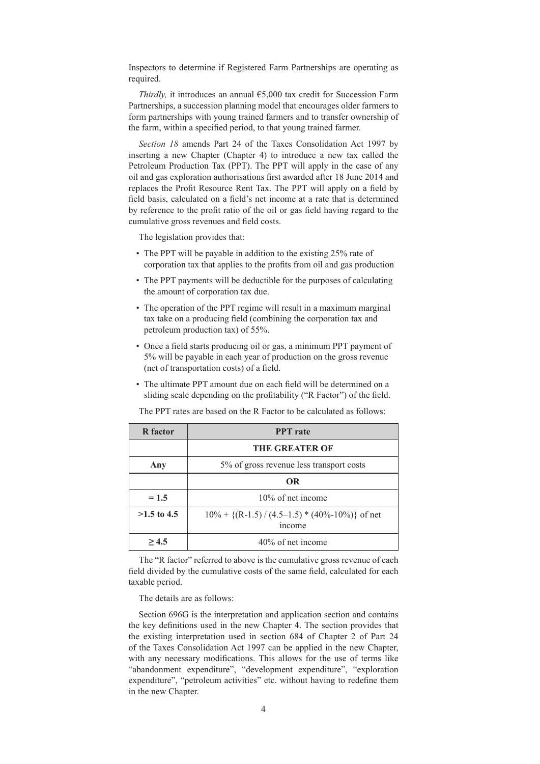Inspectors to determine if Registered Farm Partnerships are operating as required.

*Thirdly,* it introduces an annual €5,000 tax credit for Succession Farm Partnerships, a succession planning model that encourages older farmers to form partnerships with young trained farmers and to transfer ownership of the farm, within a specified period, to that young trained farmer.

*Section 18* amends Part 24 of the Taxes Consolidation Act 1997 by inserting a new Chapter (Chapter 4) to introduce a new tax called the Petroleum Production Tax (PPT). The PPT will apply in the case of any oil and gas exploration authorisations first awarded after 18 June 2014 and replaces the Profit Resource Rent Tax. The PPT will apply on a field by field basis, calculated on a field's net income at a rate that is determined by reference to the profit ratio of the oil or gas field having regard to the cumulative gross revenues and field costs.

The legislation provides that:

- The PPT will be payable in addition to the existing 25% rate of corporation tax that applies to the profits from oil and gas production
- The PPT payments will be deductible for the purposes of calculating the amount of corporation tax due.
- The operation of the PPT regime will result in a maximum marginal tax take on a producing field (combining the corporation tax and petroleum production tax) of 55%.
- Once a field starts producing oil or gas, a minimum PPT payment of 5% will be payable in each year of production on the gross revenue (net of transportation costs) of a field.
- The ultimate PPT amount due on each field will be determined on a sliding scale depending on the profitability ("R Factor") of the field.

| <b>R</b> factor | <b>PPT</b> rate                                                   |
|-----------------|-------------------------------------------------------------------|
|                 | THE GREATER OF                                                    |
| Any             | 5% of gross revenue less transport costs                          |
|                 | <b>OR</b>                                                         |
| $= 1.5$         | 10% of net income                                                 |
| $>1.5$ to 4.5   | $10\% + \{(R-1.5) / (4.5-1.5) * (40\% - 10\%)\}$ of net<br>income |
| >4.5            | 40% of net income                                                 |

The PPT rates are based on the R Factor to be calculated as follows:

The "R factor" referred to above is the cumulative gross revenue of each field divided by the cumulative costs of the same field, calculated for each taxable period.

The details are as follows:

Section 696G is the interpretation and application section and contains the key definitions used in the new Chapter 4. The section provides that the existing interpretation used in section 684 of Chapter 2 of Part 24 of the Taxes Consolidation Act 1997 can be applied in the new Chapter, with any necessary modifications. This allows for the use of terms like "abandonment expenditure", "development expenditure", "exploration expenditure", "petroleum activities" etc. without having to redefine them in the new Chapter.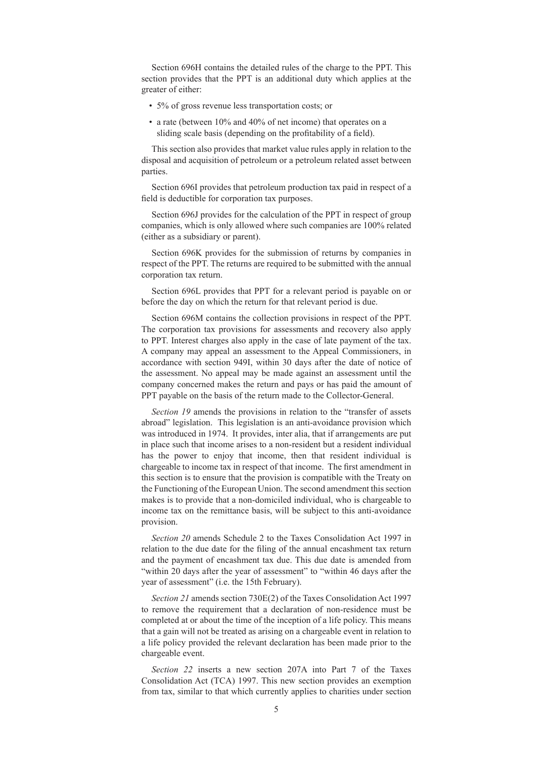Section 696H contains the detailed rules of the charge to the PPT. This section provides that the PPT is an additional duty which applies at the greater of either:

- 5% of gross revenue less transportation costs; or
- a rate (between 10% and 40% of net income) that operates on a sliding scale basis (depending on the profitability of a field).

This section also provides that market value rules apply in relation to the disposal and acquisition of petroleum or a petroleum related asset between parties.

Section 696I provides that petroleum production tax paid in respect of a field is deductible for corporation tax purposes.

Section 696J provides for the calculation of the PPT in respect of group companies, which is only allowed where such companies are 100% related (either as a subsidiary or parent).

Section 696K provides for the submission of returns by companies in respect of the PPT. The returns are required to be submitted with the annual corporation tax return.

Section 696L provides that PPT for a relevant period is payable on or before the day on which the return for that relevant period is due.

Section 696M contains the collection provisions in respect of the PPT. The corporation tax provisions for assessments and recovery also apply to PPT. Interest charges also apply in the case of late payment of the tax. A company may appeal an assessment to the Appeal Commissioners, in accordance with section 949I, within 30 days after the date of notice of the assessment. No appeal may be made against an assessment until the company concerned makes the return and pays or has paid the amount of PPT payable on the basis of the return made to the Collector-General.

*Section 19* amends the provisions in relation to the "transfer of assets abroad" legislation. This legislation is an anti-avoidance provision which was introduced in 1974. It provides, inter alia, that if arrangements are put in place such that income arises to a non-resident but a resident individual has the power to enjoy that income, then that resident individual is chargeable to income tax in respect of that income. The first amendment in this section is to ensure that the provision is compatible with the Treaty on the Functioning of the European Union. The second amendment this section makes is to provide that a non-domiciled individual, who is chargeable to income tax on the remittance basis, will be subject to this anti-avoidance provision.

*Section 20* amends Schedule 2 to the Taxes Consolidation Act 1997 in relation to the due date for the filing of the annual encashment tax return and the payment of encashment tax due. This due date is amended from "within 20 days after the year of assessment" to "within 46 days after the year of assessment" (i.e. the 15th February).

*Section 21* amends section 730E(2) of the Taxes Consolidation Act 1997 to remove the requirement that a declaration of non-residence must be completed at or about the time of the inception of a life policy. This means that a gain will not be treated as arising on a chargeable event in relation to a life policy provided the relevant declaration has been made prior to the chargeable event.

*Section 22* inserts a new section 207A into Part 7 of the Taxes Consolidation Act (TCA) 1997. This new section provides an exemption from tax, similar to that which currently applies to charities under section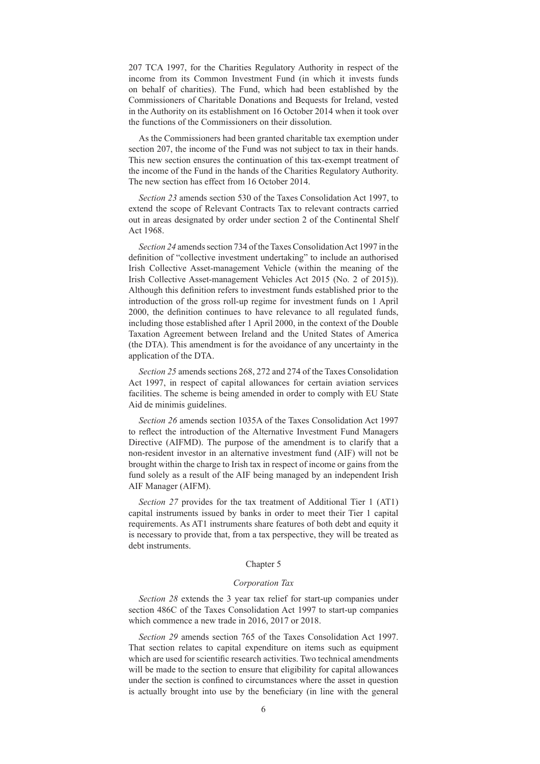207 TCA 1997, for the Charities Regulatory Authority in respect of the income from its Common Investment Fund (in which it invests funds on behalf of charities). The Fund, which had been established by the Commissioners of Charitable Donations and Bequests for Ireland, vested in the Authority on its establishment on 16 October 2014 when it took over the functions of the Commissioners on their dissolution.

As the Commissioners had been granted charitable tax exemption under section 207, the income of the Fund was not subject to tax in their hands. This new section ensures the continuation of this tax-exempt treatment of the income of the Fund in the hands of the Charities Regulatory Authority. The new section has effect from 16 October 2014.

*Section 23* amends section 530 of the Taxes Consolidation Act 1997, to extend the scope of Relevant Contracts Tax to relevant contracts carried out in areas designated by order under section 2 of the Continental Shelf Act 1968.

*Section 24* amends section 734 of the Taxes Consolidation Act 1997 in the definition of "collective investment undertaking" to include an authorised Irish Collective Asset-management Vehicle (within the meaning of the Irish Collective Asset-management Vehicles Act 2015 (No. 2 of 2015)). Although this definition refers to investment funds established prior to the introduction of the gross roll-up regime for investment funds on 1 April 2000, the definition continues to have relevance to all regulated funds, including those established after 1 April 2000, in the context of the Double Taxation Agreement between Ireland and the United States of America (the DTA). This amendment is for the avoidance of any uncertainty in the application of the DTA.

*Section 25* amends sections 268, 272 and 274 of the Taxes Consolidation Act 1997, in respect of capital allowances for certain aviation services facilities. The scheme is being amended in order to comply with EU State Aid de minimis guidelines.

*Section 26* amends section 1035A of the Taxes Consolidation Act 1997 to reflect the introduction of the Alternative Investment Fund Managers Directive (AIFMD). The purpose of the amendment is to clarify that a non-resident investor in an alternative investment fund (AIF) will not be brought within the charge to Irish tax in respect of income or gains from the fund solely as a result of the AIF being managed by an independent Irish AIF Manager (AIFM).

*Section 27* provides for the tax treatment of Additional Tier 1 (AT1) capital instruments issued by banks in order to meet their Tier 1 capital requirements. As AT1 instruments share features of both debt and equity it is necessary to provide that, from a tax perspective, they will be treated as debt instruments.

#### Chapter 5

#### *Corporation Tax*

*Section 28* extends the 3 year tax relief for start-up companies under section 486C of the Taxes Consolidation Act 1997 to start-up companies which commence a new trade in 2016, 2017 or 2018.

*Section 29* amends section 765 of the Taxes Consolidation Act 1997. That section relates to capital expenditure on items such as equipment which are used for scientific research activities. Two technical amendments will be made to the section to ensure that eligibility for capital allowances under the section is confined to circumstances where the asset in question is actually brought into use by the beneficiary (in line with the general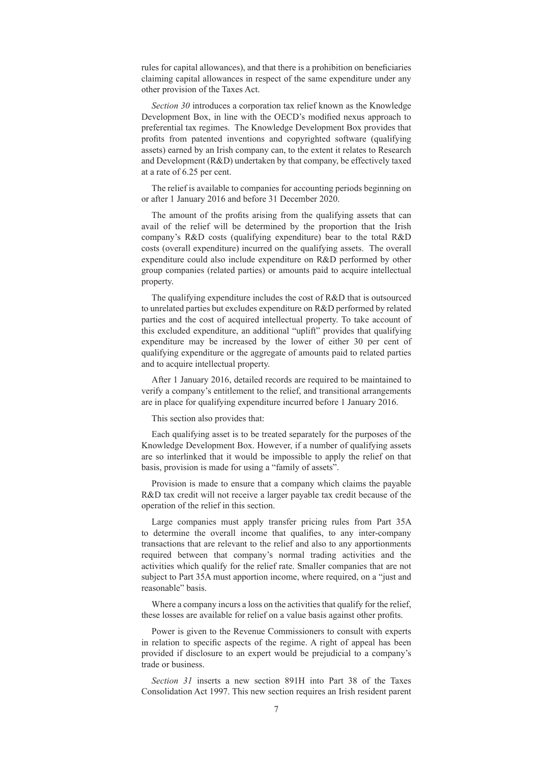rules for capital allowances), and that there is a prohibition on beneficiaries claiming capital allowances in respect of the same expenditure under any other provision of the Taxes Act.

*Section 30* introduces a corporation tax relief known as the Knowledge Development Box, in line with the OECD's modified nexus approach to preferential tax regimes. The Knowledge Development Box provides that profits from patented inventions and copyrighted software (qualifying assets) earned by an Irish company can, to the extent it relates to Research and Development (R&D) undertaken by that company, be effectively taxed at a rate of 6.25 per cent.

The relief is available to companies for accounting periods beginning on or after 1 January 2016 and before 31 December 2020.

The amount of the profits arising from the qualifying assets that can avail of the relief will be determined by the proportion that the Irish company's R&D costs (qualifying expenditure) bear to the total R&D costs (overall expenditure) incurred on the qualifying assets. The overall expenditure could also include expenditure on R&D performed by other group companies (related parties) or amounts paid to acquire intellectual property.

The qualifying expenditure includes the cost of R&D that is outsourced to unrelated parties but excludes expenditure on R&D performed by related parties and the cost of acquired intellectual property. To take account of this excluded expenditure, an additional "uplift" provides that qualifying expenditure may be increased by the lower of either 30 per cent of qualifying expenditure or the aggregate of amounts paid to related parties and to acquire intellectual property.

After 1 January 2016, detailed records are required to be maintained to verify a company's entitlement to the relief, and transitional arrangements are in place for qualifying expenditure incurred before 1 January 2016.

This section also provides that:

Each qualifying asset is to be treated separately for the purposes of the Knowledge Development Box. However, if a number of qualifying assets are so interlinked that it would be impossible to apply the relief on that basis, provision is made for using a "family of assets".

Provision is made to ensure that a company which claims the payable R&D tax credit will not receive a larger payable tax credit because of the operation of the relief in this section.

Large companies must apply transfer pricing rules from Part 35A to determine the overall income that qualifies, to any inter-company transactions that are relevant to the relief and also to any apportionments required between that company's normal trading activities and the activities which qualify for the relief rate. Smaller companies that are not subject to Part 35A must apportion income, where required, on a "just and reasonable" basis.

Where a company incurs a loss on the activities that qualify for the relief, these losses are available for relief on a value basis against other profits.

Power is given to the Revenue Commissioners to consult with experts in relation to specific aspects of the regime. A right of appeal has been provided if disclosure to an expert would be prejudicial to a company's trade or business.

*Section 31* inserts a new section 891H into Part 38 of the Taxes Consolidation Act 1997. This new section requires an Irish resident parent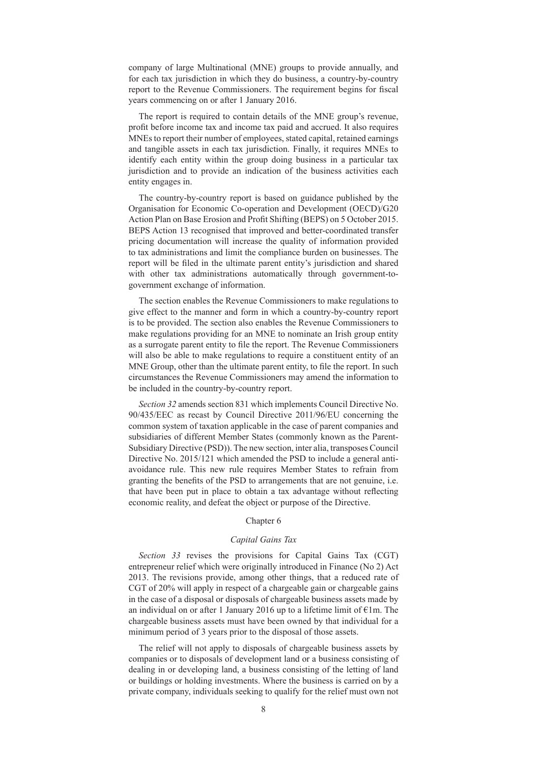company of large Multinational (MNE) groups to provide annually, and for each tax jurisdiction in which they do business, a country-by-country report to the Revenue Commissioners. The requirement begins for fiscal years commencing on or after 1 January 2016.

The report is required to contain details of the MNE group's revenue, profit before income tax and income tax paid and accrued. It also requires MNEs to report their number of employees, stated capital, retained earnings and tangible assets in each tax jurisdiction. Finally, it requires MNEs to identify each entity within the group doing business in a particular tax jurisdiction and to provide an indication of the business activities each entity engages in.

The country-by-country report is based on guidance published by the Organisation for Economic Co-operation and Development (OECD)/G20 Action Plan on Base Erosion and Profit Shifting (BEPS) on 5 October 2015. BEPS Action 13 recognised that improved and better-coordinated transfer pricing documentation will increase the quality of information provided to tax administrations and limit the compliance burden on businesses. The report will be filed in the ultimate parent entity's jurisdiction and shared with other tax administrations automatically through government-togovernment exchange of information.

The section enables the Revenue Commissioners to make regulations to give effect to the manner and form in which a country-by-country report is to be provided. The section also enables the Revenue Commissioners to make regulations providing for an MNE to nominate an Irish group entity as a surrogate parent entity to file the report. The Revenue Commissioners will also be able to make regulations to require a constituent entity of an MNE Group, other than the ultimate parent entity, to file the report. In such circumstances the Revenue Commissioners may amend the information to be included in the country-by-country report.

*Section 32* amends section 831 which implements Council Directive No. 90/435/EEC as recast by Council Directive 2011/96/EU concerning the common system of taxation applicable in the case of parent companies and subsidiaries of different Member States (commonly known as the Parent-Subsidiary Directive (PSD)). The new section, inter alia, transposes Council Directive No. 2015/121 which amended the PSD to include a general antiavoidance rule. This new rule requires Member States to refrain from granting the benefits of the PSD to arrangements that are not genuine, i.e. that have been put in place to obtain a tax advantage without reflecting economic reality, and defeat the object or purpose of the Directive.

# Chapter 6

## *Capital Gains Tax*

*Section 33* revises the provisions for Capital Gains Tax (CGT) entrepreneur relief which were originally introduced in Finance (No 2) Act 2013. The revisions provide, among other things, that a reduced rate of CGT of 20% will apply in respect of a chargeable gain or chargeable gains in the case of a disposal or disposals of chargeable business assets made by an individual on or after 1 January 2016 up to a lifetime limit of  $\epsilon$ 1m. The chargeable business assets must have been owned by that individual for a minimum period of 3 years prior to the disposal of those assets.

The relief will not apply to disposals of chargeable business assets by companies or to disposals of development land or a business consisting of dealing in or developing land, a business consisting of the letting of land or buildings or holding investments. Where the business is carried on by a private company, individuals seeking to qualify for the relief must own not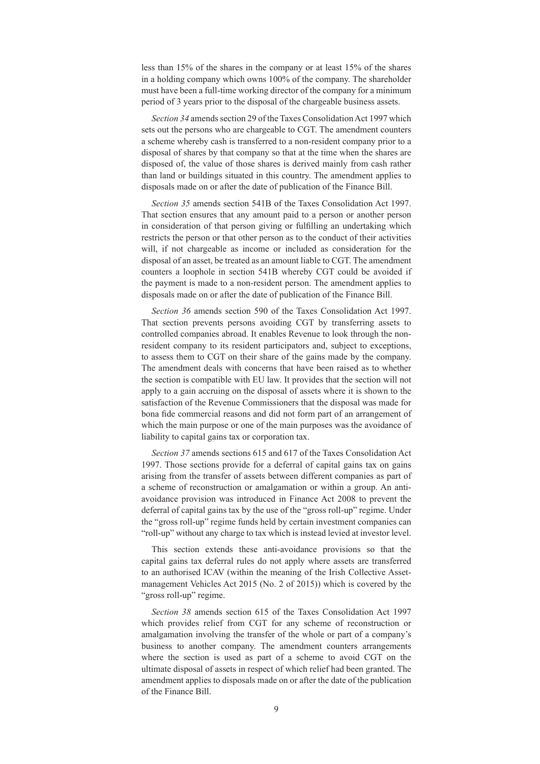less than 15% of the shares in the company or at least 15% of the shares in a holding company which owns 100% of the company. The shareholder must have been a full-time working director of the company for a minimum period of 3 years prior to the disposal of the chargeable business assets.

*Section 34* amends section 29 of the Taxes Consolidation Act 1997 which sets out the persons who are chargeable to CGT. The amendment counters a scheme whereby cash is transferred to a non-resident company prior to a disposal of shares by that company so that at the time when the shares are disposed of, the value of those shares is derived mainly from cash rather than land or buildings situated in this country. The amendment applies to disposals made on or after the date of publication of the Finance Bill.

*Section 35* amends section 541B of the Taxes Consolidation Act 1997. That section ensures that any amount paid to a person or another person in consideration of that person giving or fulfilling an undertaking which restricts the person or that other person as to the conduct of their activities will, if not chargeable as income or included as consideration for the disposal of an asset, be treated as an amount liable to CGT. The amendment counters a loophole in section 541B whereby CGT could be avoided if the payment is made to a non-resident person. The amendment applies to disposals made on or after the date of publication of the Finance Bill.

*Section 36* amends section 590 of the Taxes Consolidation Act 1997. That section prevents persons avoiding CGT by transferring assets to controlled companies abroad. It enables Revenue to look through the nonresident company to its resident participators and, subject to exceptions, to assess them to CGT on their share of the gains made by the company. The amendment deals with concerns that have been raised as to whether the section is compatible with EU law. It provides that the section will not apply to a gain accruing on the disposal of assets where it is shown to the satisfaction of the Revenue Commissioners that the disposal was made for bona fide commercial reasons and did not form part of an arrangement of which the main purpose or one of the main purposes was the avoidance of liability to capital gains tax or corporation tax.

*Section 37* amends sections 615 and 617 of the Taxes Consolidation Act 1997. Those sections provide for a deferral of capital gains tax on gains arising from the transfer of assets between different companies as part of a scheme of reconstruction or amalgamation or within a group. An antiavoidance provision was introduced in Finance Act 2008 to prevent the deferral of capital gains tax by the use of the "gross roll-up" regime. Under the "gross roll-up" regime funds held by certain investment companies can "roll-up" without any charge to tax which is instead levied at investor level.

This section extends these anti-avoidance provisions so that the capital gains tax deferral rules do not apply where assets are transferred to an authorised ICAV (within the meaning of the Irish Collective Assetmanagement Vehicles Act 2015 (No. 2 of 2015)) which is covered by the "gross roll-up" regime.

*Section 38* amends section 615 of the Taxes Consolidation Act 1997 which provides relief from CGT for any scheme of reconstruction or amalgamation involving the transfer of the whole or part of a company's business to another company. The amendment counters arrangements where the section is used as part of a scheme to avoid CGT on the ultimate disposal of assets in respect of which relief had been granted. The amendment applies to disposals made on or after the date of the publication of the Finance Bill.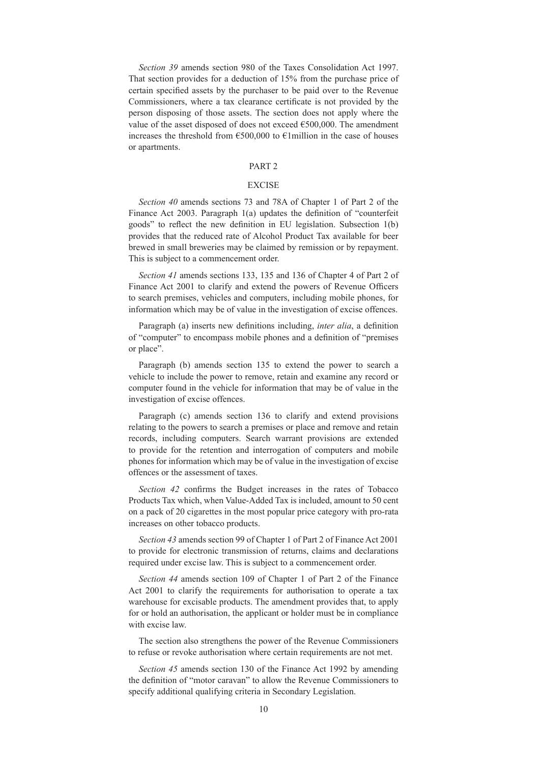*Section 39* amends section 980 of the Taxes Consolidation Act 1997. That section provides for a deduction of 15% from the purchase price of certain specified assets by the purchaser to be paid over to the Revenue Commissioners, where a tax clearance certificate is not provided by the person disposing of those assets. The section does not apply where the value of the asset disposed of does not exceed  $€500,000$ . The amendment increases the threshold from  $\epsilon$ 500,000 to  $\epsilon$ 1million in the case of houses or apartments.

# PART 2

## EXCISE

*Section 40* amends sections 73 and 78A of Chapter 1 of Part 2 of the Finance Act 2003. Paragraph 1(a) updates the definition of "counterfeit goods" to reflect the new definition in EU legislation. Subsection 1(b) provides that the reduced rate of Alcohol Product Tax available for beer brewed in small breweries may be claimed by remission or by repayment. This is subject to a commencement order.

*Section 41* amends sections 133, 135 and 136 of Chapter 4 of Part 2 of Finance Act 2001 to clarify and extend the powers of Revenue Officers to search premises, vehicles and computers, including mobile phones, for information which may be of value in the investigation of excise offences.

Paragraph (a) inserts new definitions including, *inter alia*, a definition of "computer" to encompass mobile phones and a definition of "premises or place".

Paragraph (b) amends section 135 to extend the power to search a vehicle to include the power to remove, retain and examine any record or computer found in the vehicle for information that may be of value in the investigation of excise offences.

Paragraph (c) amends section 136 to clarify and extend provisions relating to the powers to search a premises or place and remove and retain records, including computers. Search warrant provisions are extended to provide for the retention and interrogation of computers and mobile phones for information which may be of value in the investigation of excise offences or the assessment of taxes.

*Section 42* confirms the Budget increases in the rates of Tobacco Products Tax which, when Value-Added Tax is included, amount to 50 cent on a pack of 20 cigarettes in the most popular price category with pro-rata increases on other tobacco products.

*Section 43* amends section 99 of Chapter 1 of Part 2 of Finance Act 2001 to provide for electronic transmission of returns, claims and declarations required under excise law. This is subject to a commencement order.

*Section 44* amends section 109 of Chapter 1 of Part 2 of the Finance Act 2001 to clarify the requirements for authorisation to operate a tax warehouse for excisable products. The amendment provides that, to apply for or hold an authorisation, the applicant or holder must be in compliance with excise law.

The section also strengthens the power of the Revenue Commissioners to refuse or revoke authorisation where certain requirements are not met.

*Section 45* amends section 130 of the Finance Act 1992 by amending the definition of "motor caravan" to allow the Revenue Commissioners to specify additional qualifying criteria in Secondary Legislation.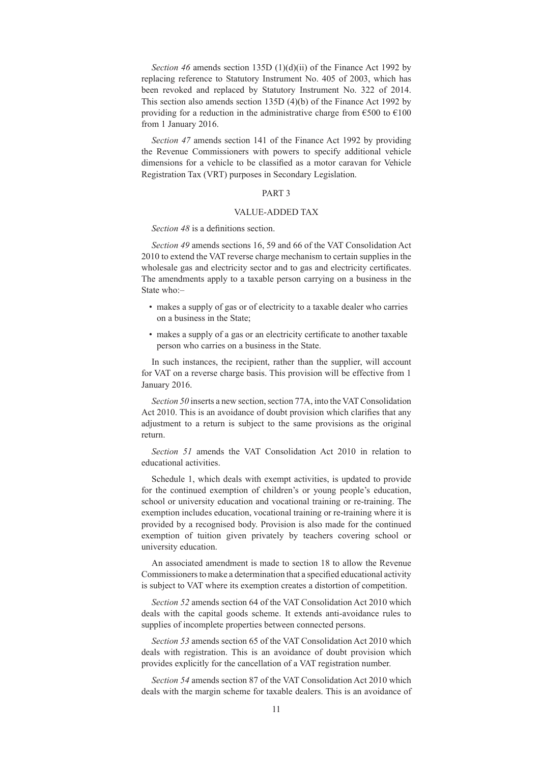*Section 46* amends section 135D (1)(d)(ii) of the Finance Act 1992 by replacing reference to Statutory Instrument No. 405 of 2003, which has been revoked and replaced by Statutory Instrument No. 322 of 2014. This section also amends section 135D (4)(b) of the Finance Act 1992 by providing for a reduction in the administrative charge from  $\epsilon$ 500 to  $\epsilon$ 100 from 1 January 2016.

*Section 47* amends section 141 of the Finance Act 1992 by providing the Revenue Commissioners with powers to specify additional vehicle dimensions for a vehicle to be classified as a motor caravan for Vehicle Registration Tax (VRT) purposes in Secondary Legislation.

# PART 3

#### VALUE-ADDED TAX

#### *Section 48* is a definitions section.

*Section 49* amends sections 16, 59 and 66 of the VAT Consolidation Act 2010 to extend the VAT reverse charge mechanism to certain supplies in the wholesale gas and electricity sector and to gas and electricity certificates. The amendments apply to a taxable person carrying on a business in the State who:–

- makes a supply of gas or of electricity to a taxable dealer who carries on a business in the State;
- makes a supply of a gas or an electricity certificate to another taxable person who carries on a business in the State.

In such instances, the recipient, rather than the supplier, will account for VAT on a reverse charge basis. This provision will be effective from 1 January 2016.

*Section 50* inserts a new section, section 77A, into the VAT Consolidation Act 2010. This is an avoidance of doubt provision which clarifies that any adjustment to a return is subject to the same provisions as the original return.

*Section 51* amends the VAT Consolidation Act 2010 in relation to educational activities.

Schedule 1, which deals with exempt activities, is updated to provide for the continued exemption of children's or young people's education, school or university education and vocational training or re-training. The exemption includes education, vocational training or re-training where it is provided by a recognised body. Provision is also made for the continued exemption of tuition given privately by teachers covering school or university education.

An associated amendment is made to section 18 to allow the Revenue Commissioners to make a determination that a specified educational activity is subject to VAT where its exemption creates a distortion of competition.

*Section 52* amends section 64 of the VAT Consolidation Act 2010 which deals with the capital goods scheme. It extends anti-avoidance rules to supplies of incomplete properties between connected persons.

*Section 53* amends section 65 of the VAT Consolidation Act 2010 which deals with registration. This is an avoidance of doubt provision which provides explicitly for the cancellation of a VAT registration number.

*Section 54* amends section 87 of the VAT Consolidation Act 2010 which deals with the margin scheme for taxable dealers. This is an avoidance of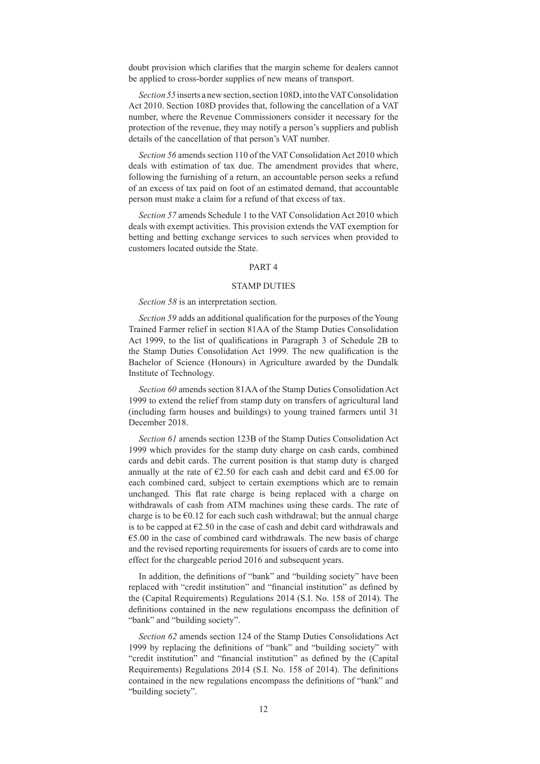doubt provision which clarifies that the margin scheme for dealers cannot be applied to cross-border supplies of new means of transport.

*Section 55* inserts a new section, section 108D, into the VAT Consolidation Act 2010. Section 108D provides that, following the cancellation of a VAT number, where the Revenue Commissioners consider it necessary for the protection of the revenue, they may notify a person's suppliers and publish details of the cancellation of that person's VAT number.

*Section 56* amends section 110 of the VAT Consolidation Act 2010 which deals with estimation of tax due. The amendment provides that where, following the furnishing of a return, an accountable person seeks a refund of an excess of tax paid on foot of an estimated demand, that accountable person must make a claim for a refund of that excess of tax.

*Section 57* amends Schedule 1 to the VAT Consolidation Act 2010 which deals with exempt activities. This provision extends the VAT exemption for betting and betting exchange services to such services when provided to customers located outside the State.

#### PART 4

### STAMP DUTIES

#### *Section 58* is an interpretation section.

*Section 59* adds an additional qualification for the purposes of the Young Trained Farmer relief in section 81AA of the Stamp Duties Consolidation Act 1999, to the list of qualifications in Paragraph 3 of Schedule 2B to the Stamp Duties Consolidation Act 1999. The new qualification is the Bachelor of Science (Honours) in Agriculture awarded by the Dundalk Institute of Technology.

*Section 60* amends section 81AA of the Stamp Duties Consolidation Act 1999 to extend the relief from stamp duty on transfers of agricultural land (including farm houses and buildings) to young trained farmers until 31 December 2018.

*Section 61* amends section 123B of the Stamp Duties Consolidation Act 1999 which provides for the stamp duty charge on cash cards, combined cards and debit cards. The current position is that stamp duty is charged annually at the rate of  $\epsilon$ 2.50 for each cash and debit card and  $\epsilon$ 5.00 for each combined card, subject to certain exemptions which are to remain unchanged. This flat rate charge is being replaced with a charge on withdrawals of cash from ATM machines using these cards. The rate of charge is to be  $\epsilon$ 0.12 for each such cash withdrawal; but the annual charge is to be capped at  $\epsilon$ 2.50 in the case of cash and debit card withdrawals and  $€5.00$  in the case of combined card withdrawals. The new basis of charge and the revised reporting requirements for issuers of cards are to come into effect for the chargeable period 2016 and subsequent years.

In addition, the definitions of "bank" and "building society" have been replaced with "credit institution" and "financial institution" as defined by the (Capital Requirements) Regulations 2014 (S.I. No. 158 of 2014). The definitions contained in the new regulations encompass the definition of "bank" and "building society".

*Section 62* amends section 124 of the Stamp Duties Consolidations Act 1999 by replacing the definitions of "bank" and "building society" with "credit institution" and "financial institution" as defined by the (Capital Requirements) Regulations 2014 (S.I. No. 158 of 2014). The definitions contained in the new regulations encompass the definitions of "bank" and "building society".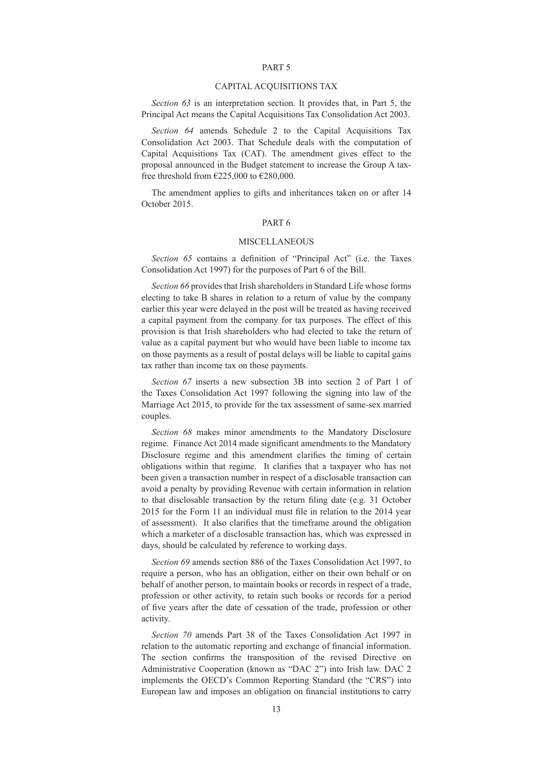### PART 5

### CAPITAL ACQUISITIONS TAX

*Section 63* is an interpretation section. It provides that, in Part 5, the Principal Act means the Capital Acquisitions Tax Consolidation Act 2003.

*Section 64* amends Schedule 2 to the Capital Acquisitions Tax Consolidation Act 2003. That Schedule deals with the computation of Capital Acquisitions Tax (CAT). The amendment gives effect to the proposal announced in the Budget statement to increase the Group A taxfree threshold from  $\epsilon$ 225,000 to  $\epsilon$ 280,000.

The amendment applies to gifts and inheritances taken on or after 14 October 2015.

# PART 6

#### MISCELLANEOUS

*Section 65* contains a definition of "Principal Act" (i.e. the Taxes Consolidation Act 1997) for the purposes of Part 6 of the Bill.

*Section 66* provides that Irish shareholders in Standard Life whose forms electing to take B shares in relation to a return of value by the company earlier this year were delayed in the post will be treated as having received a capital payment from the company for tax purposes. The effect of this provision is that Irish shareholders who had elected to take the return of value as a capital payment but who would have been liable to income tax on those payments as a result of postal delays will be liable to capital gains tax rather than income tax on those payments.

*Section 67* inserts a new subsection 3B into section 2 of Part 1 of the Taxes Consolidation Act 1997 following the signing into law of the Marriage Act 2015, to provide for the tax assessment of same-sex married couples.

*Section 68* makes minor amendments to the Mandatory Disclosure regime. Finance Act 2014 made significant amendments to the Mandatory Disclosure regime and this amendment clarifies the timing of certain obligations within that regime. It clarifies that a taxpayer who has not been given a transaction number in respect of a disclosable transaction can avoid a penalty by providing Revenue with certain information in relation to that disclosable transaction by the return filing date (e.g. 31 October 2015 for the Form 11 an individual must file in relation to the 2014 year of assessment). It also clarifies that the timeframe around the obligation which a marketer of a disclosable transaction has, which was expressed in days, should be calculated by reference to working days.

*Section 69* amends section 886 of the Taxes Consolidation Act 1997, to require a person, who has an obligation, either on their own behalf or on behalf of another person, to maintain books or records in respect of a trade, profession or other activity, to retain such books or records for a period of five years after the date of cessation of the trade, profession or other activity.

*Section 70* amends Part 38 of the Taxes Consolidation Act 1997 in relation to the automatic reporting and exchange of financial information. The section confirms the transposition of the revised Directive on Administrative Cooperation (known as "DAC 2") into Irish law. DAC 2 implements the OECD's Common Reporting Standard (the "CRS") into European law and imposes an obligation on financial institutions to carry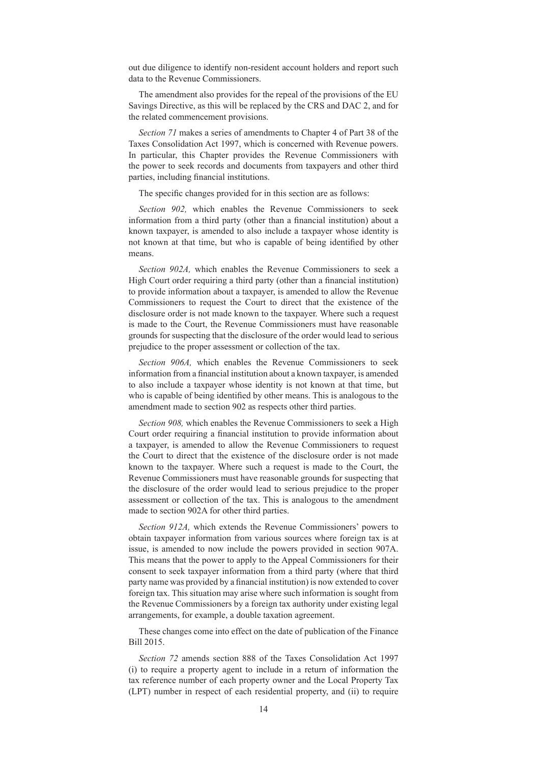out due diligence to identify non-resident account holders and report such data to the Revenue Commissioners.

The amendment also provides for the repeal of the provisions of the EU Savings Directive, as this will be replaced by the CRS and DAC 2, and for the related commencement provisions.

*Section 71* makes a series of amendments to Chapter 4 of Part 38 of the Taxes Consolidation Act 1997, which is concerned with Revenue powers. In particular, this Chapter provides the Revenue Commissioners with the power to seek records and documents from taxpayers and other third parties, including financial institutions.

The specific changes provided for in this section are as follows:

*Section 902,* which enables the Revenue Commissioners to seek information from a third party (other than a financial institution) about a known taxpayer, is amended to also include a taxpayer whose identity is not known at that time, but who is capable of being identified by other means.

*Section 902A,* which enables the Revenue Commissioners to seek a High Court order requiring a third party (other than a financial institution) to provide information about a taxpayer, is amended to allow the Revenue Commissioners to request the Court to direct that the existence of the disclosure order is not made known to the taxpayer. Where such a request is made to the Court, the Revenue Commissioners must have reasonable grounds for suspecting that the disclosure of the order would lead to serious prejudice to the proper assessment or collection of the tax.

*Section 906A,* which enables the Revenue Commissioners to seek information from a financial institution about a known taxpayer, is amended to also include a taxpayer whose identity is not known at that time, but who is capable of being identified by other means. This is analogous to the amendment made to section 902 as respects other third parties.

*Section 908,* which enables the Revenue Commissioners to seek a High Court order requiring a financial institution to provide information about a taxpayer, is amended to allow the Revenue Commissioners to request the Court to direct that the existence of the disclosure order is not made known to the taxpayer. Where such a request is made to the Court, the Revenue Commissioners must have reasonable grounds for suspecting that the disclosure of the order would lead to serious prejudice to the proper assessment or collection of the tax. This is analogous to the amendment made to section 902A for other third parties.

*Section 912A,* which extends the Revenue Commissioners' powers to obtain taxpayer information from various sources where foreign tax is at issue, is amended to now include the powers provided in section 907A. This means that the power to apply to the Appeal Commissioners for their consent to seek taxpayer information from a third party (where that third party name was provided by a financial institution) is now extended to cover foreign tax. This situation may arise where such information is sought from the Revenue Commissioners by a foreign tax authority under existing legal arrangements, for example, a double taxation agreement.

These changes come into effect on the date of publication of the Finance Bill 2015.

*Section 72* amends section 888 of the Taxes Consolidation Act 1997 (i) to require a property agent to include in a return of information the tax reference number of each property owner and the Local Property Tax (LPT) number in respect of each residential property, and (ii) to require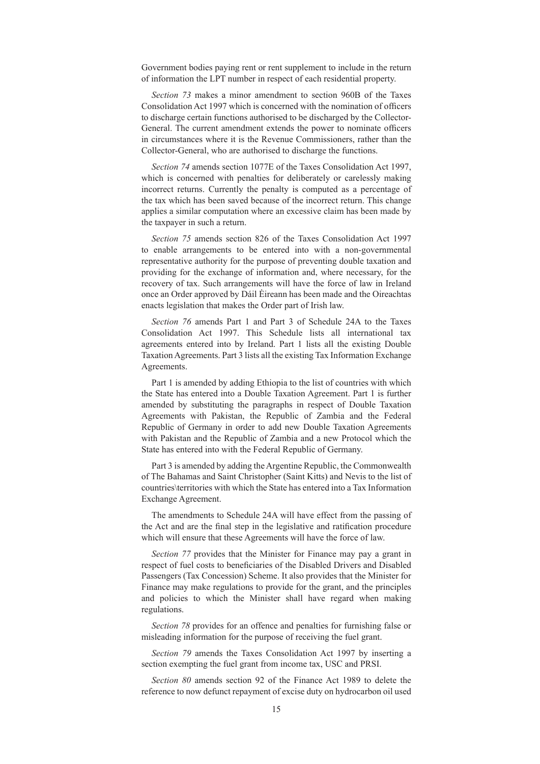Government bodies paying rent or rent supplement to include in the return of information the LPT number in respect of each residential property.

*Section 73* makes a minor amendment to section 960B of the Taxes Consolidation Act 1997 which is concerned with the nomination of officers to discharge certain functions authorised to be discharged by the Collector-General. The current amendment extends the power to nominate officers in circumstances where it is the Revenue Commissioners, rather than the Collector-General, who are authorised to discharge the functions.

*Section 74* amends section 1077E of the Taxes Consolidation Act 1997, which is concerned with penalties for deliberately or carelessly making incorrect returns. Currently the penalty is computed as a percentage of the tax which has been saved because of the incorrect return. This change applies a similar computation where an excessive claim has been made by the taxpayer in such a return.

*Section 75* amends section 826 of the Taxes Consolidation Act 1997 to enable arrangements to be entered into with a non-governmental representative authority for the purpose of preventing double taxation and providing for the exchange of information and, where necessary, for the recovery of tax. Such arrangements will have the force of law in Ireland once an Order approved by Dáil Ėireann has been made and the Oireachtas enacts legislation that makes the Order part of Irish law.

*Section 76* amends Part 1 and Part 3 of Schedule 24A to the Taxes Consolidation Act 1997. This Schedule lists all international tax agreements entered into by Ireland. Part 1 lists all the existing Double Taxation Agreements. Part 3 lists all the existing Tax Information Exchange Agreements.

Part 1 is amended by adding Ethiopia to the list of countries with which the State has entered into a Double Taxation Agreement. Part 1 is further amended by substituting the paragraphs in respect of Double Taxation Agreements with Pakistan, the Republic of Zambia and the Federal Republic of Germany in order to add new Double Taxation Agreements with Pakistan and the Republic of Zambia and a new Protocol which the State has entered into with the Federal Republic of Germany.

Part 3 is amended by adding the Argentine Republic, the Commonwealth of The Bahamas and Saint Christopher (Saint Kitts) and Nevis to the list of countries\territories with which the State has entered into a Tax Information Exchange Agreement.

The amendments to Schedule 24A will have effect from the passing of the Act and are the final step in the legislative and ratification procedure which will ensure that these Agreements will have the force of law.

*Section 77* provides that the Minister for Finance may pay a grant in respect of fuel costs to beneficiaries of the Disabled Drivers and Disabled Passengers (Tax Concession) Scheme. It also provides that the Minister for Finance may make regulations to provide for the grant, and the principles and policies to which the Minister shall have regard when making regulations.

*Section 78* provides for an offence and penalties for furnishing false or misleading information for the purpose of receiving the fuel grant.

*Section 79* amends the Taxes Consolidation Act 1997 by inserting a section exempting the fuel grant from income tax, USC and PRSI.

*Section 80* amends section 92 of the Finance Act 1989 to delete the reference to now defunct repayment of excise duty on hydrocarbon oil used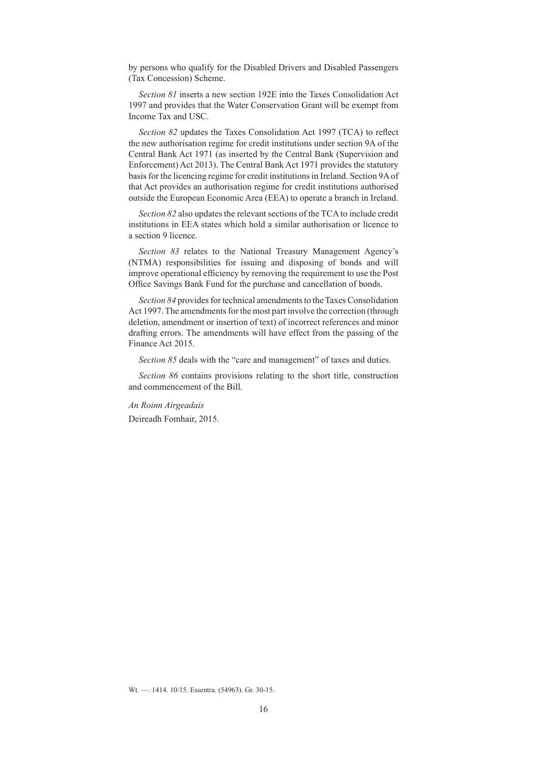by persons who qualify for the Disabled Drivers and Disabled Passengers (Tax Concession) Scheme.

*Section 81* inserts a new section 192E into the Taxes Consolidation Act 1997 and provides that the Water Conservation Grant will be exempt from Income Tax and USC.

*Section 82* updates the Taxes Consolidation Act 1997 (TCA) to reflect the new authorisation regime for credit institutions under section 9A of the Central Bank Act 1971 (as inserted by the Central Bank (Supervision and Enforcement) Act 2013). The Central Bank Act 1971 provides the statutory basis for the licencing regime for credit institutions in Ireland. Section 9A of that Act provides an authorisation regime for credit institutions authorised outside the European Economic Area (EEA) to operate a branch in Ireland.

*Section 82* also updates the relevant sections of the TCA to include credit institutions in EEA states which hold a similar authorisation or licence to a section 9 licence.

*Section 83* relates to the National Treasury Management Agency's (NTMA) responsibilities for issuing and disposing of bonds and will improve operational efficiency by removing the requirement to use the Post Office Savings Bank Fund for the purchase and cancellation of bonds.

*Section 84* provides for technical amendments to the Taxes Consolidation Act 1997. The amendments for the most part involve the correction (through deletion, amendment or insertion of text) of incorrect references and minor drafting errors. The amendments will have effect from the passing of the Finance Act 2015.

*Section 85* deals with the "care and management" of taxes and duties.

*Section 86* contains provisions relating to the short title, construction and commencement of the Bill.

*An Roinn Airgeadais*

Deireadh Fomhair, 2015.

Wt. —. 1414. 10/15. Essentra. (54963). Gr. 30-15.